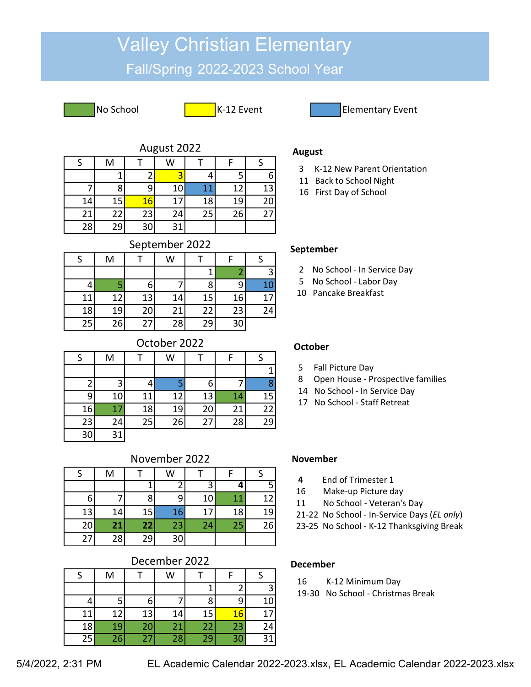# Valley Christian Elementary

## Fall/Spring 2022-2023 School Year

No School **K-12 Event** Elementary Event

| August 2022 |  |
|-------------|--|
|-------------|--|

|    | M  |           | W  |    |    |    |
|----|----|-----------|----|----|----|----|
|    | и  |           |    |    |    | 6  |
|    | 8  | ົ         | 10 | 11 | 12 | 13 |
| 14 | 15 | <b>16</b> | 17 | 18 | 19 | 20 |
| 21 | 22 | 23        | 24 | 25 | 26 | 27 |
| 28 | 29 | 30        | 31 |    |    |    |

## September 2022

|    | M  |    | W  |    |    |    |
|----|----|----|----|----|----|----|
|    |    |    |    |    |    |    |
|    |    | 6  |    | 8  |    | 10 |
| 11 | 12 | 13 | 14 | 15 | 16 | 17 |
| 18 | 19 | 20 | 21 | 22 | 23 | 24 |
| 25 | 26 | 27 | 28 | 29 | 30 |    |

## October 2022

| S  | M  |    | W  |    | F  |    |
|----|----|----|----|----|----|----|
|    |    |    |    |    |    |    |
|    | 3  |    |    | 6  |    | Զ  |
| q  | 10 | 11 | 12 | 13 | 14 | 15 |
| 16 | 17 | 18 | 19 | 20 | 21 | 22 |
| 23 | 24 | 25 | 26 | 27 | 28 | 29 |
| 30 | 31 |    |    |    |    |    |

## November 2022

|    | M  |    | W  |    |    |    |
|----|----|----|----|----|----|----|
|    |    |    |    |    |    |    |
| 6  |    | 8  |    | 10 | 11 | 12 |
| 13 | 14 | 15 | 16 | 17 | 18 | 19 |
| 20 | 21 | 22 | 23 | 24 | 25 | 26 |
| 27 | 28 | 29 | 30 |    |    |    |

## December 2022

| c  | M  |    | W  |    |    |    |
|----|----|----|----|----|----|----|
|    |    |    |    |    |    |    |
|    |    | b  |    | 8  |    | 10 |
| 11 | 12 | 13 | 14 | 15 | 16 | 17 |
| 18 | 19 | 20 | 21 | 22 | 23 | 24 |
| 25 | 26 | 27 | 28 | 29 | 30 | 31 |

## **August**

- 3 K-12 New Parent Orientation
- 11 Back to School Night
- 16 First Day of School

#### **September**

- 2 No School In Service Day
- 5 No School Labor Day
- 10 Pancake Breakfast

#### **October**

- 5 Fall Picture Day
- 8 Open House Prospective families
- 14 No School In Service Day
- 17 No School Staff Retreat

#### **November**

- **4** End of Trimester 1
- 16 Make-up Picture day
- 11 No School Veteran's Day
- 21-22 No School In-Service Days (*EL only*)
- 23-25 No School K-12 Thanksgiving Break

#### **December**

- 16 K-12 Minimum Day
- 19-30 No School Christmas Break